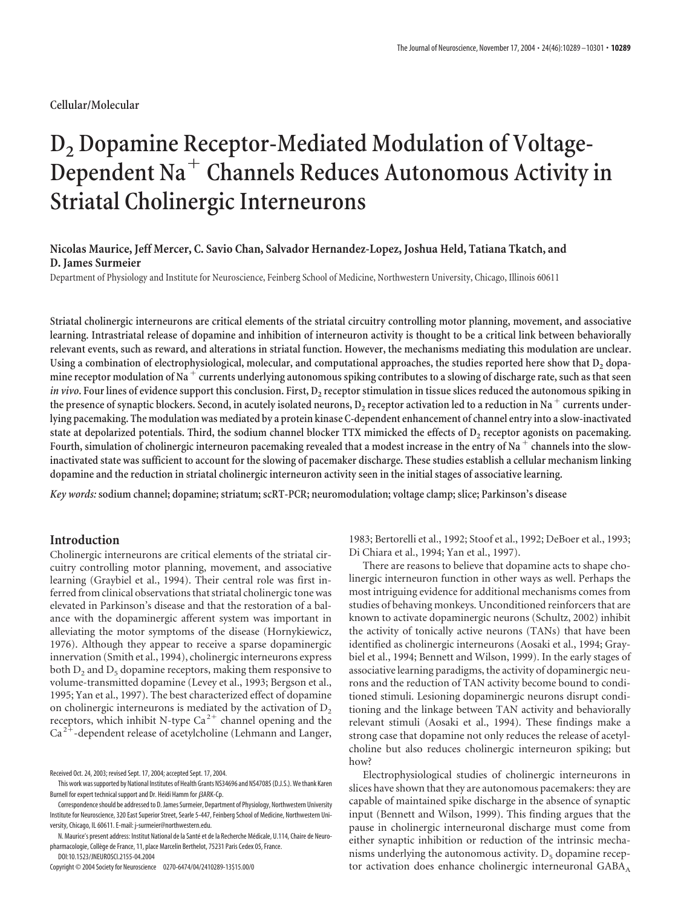# **D2 Dopamine Receptor-Mediated Modulation of Voltage-Dependent Na Channels Reduces Autonomous Activity in Striatal Cholinergic Interneurons**

## **Nicolas Maurice, Jeff Mercer, C. Savio Chan, Salvador Hernandez-Lopez, Joshua Held, Tatiana Tkatch, and D. James Surmeier**

Department of Physiology and Institute for Neuroscience, Feinberg School of Medicine, Northwestern University, Chicago, Illinois 60611

**Striatal cholinergic interneurons are critical elements of the striatal circuitry controlling motor planning, movement, and associative learning. Intrastriatal release of dopamine and inhibition of interneuron activity is thought to be a critical link between behaviorally relevant events, such as reward, and alterations in striatal function. However, the mechanisms mediating this modulation are unclear.** Using a combination of electrophysiological, molecular, and computational approaches, the studies reported here show that D<sub>2</sub> dopamine receptor modulation of Na<sup>+</sup> currents underlying autonomous spiking contributes to a slowing of discharge rate, such as that seen *in vivo***.** Four lines of evidence support this conclusion. First,  $D_2$  receptor stimulation in tissue slices reduced the autonomous spiking in the presence of synaptic blockers. Second, in acutely isolated neurons, D<sub>2</sub> receptor activation led to a reduction in Na<sup>+</sup> currents under**lying pacemaking. The modulation was mediated by a protein kinase C-dependent enhancement of channel entry into a slow-inactivated** state at depolarized potentials. Third, the sodium channel blocker TTX mimicked the effects of D<sub>2</sub> receptor agonists on pacemaking. Fourth, simulation of cholinergic interneuron pacemaking revealed that a modest increase in the entry of Na<sup>+</sup> channels into the slow**inactivated state was sufficient to account for the slowing of pacemaker discharge. These studies establish a cellular mechanism linking dopamine and the reduction in striatal cholinergic interneuron activity seen in the initial stages of associative learning.**

*Key words:* **sodium channel; dopamine; striatum; scRT-PCR; neuromodulation; voltage clamp; slice; Parkinson's disease**

## **Introduction**

Cholinergic interneurons are critical elements of the striatal circuitry controlling motor planning, movement, and associative learning (Graybiel et al., 1994). Their central role was first inferred from clinical observations that striatal cholinergic tone was elevated in Parkinson's disease and that the restoration of a balance with the dopaminergic afferent system was important in alleviating the motor symptoms of the disease (Hornykiewicz, 1976). Although they appear to receive a sparse dopaminergic innervation (Smith et al., 1994), cholinergic interneurons express both  $D_2$  and  $D_5$  dopamine receptors, making them responsive to volume-transmitted dopamine (Levey et al., 1993; Bergson et al., 1995; Yan et al., 1997). The best characterized effect of dopamine on cholinergic interneurons is mediated by the activation of  $D<sub>2</sub>$ receptors, which inhibit N-type Ca<sup>2+</sup> channel opening and the  $Ca<sup>2+</sup>$ -dependent release of acetylcholine (Lehmann and Langer,

Copyright © 2004 Society for Neuroscience 0270-6474/04/2410289-13\$15.00/0

1983; Bertorelli et al., 1992; Stoof et al., 1992; DeBoer et al., 1993; Di Chiara et al., 1994; Yan et al., 1997).

There are reasons to believe that dopamine acts to shape cholinergic interneuron function in other ways as well. Perhaps the most intriguing evidence for additional mechanisms comes from studies of behaving monkeys. Unconditioned reinforcers that are known to activate dopaminergic neurons (Schultz, 2002) inhibit the activity of tonically active neurons (TANs) that have been identified as cholinergic interneurons (Aosaki et al., 1994; Graybiel et al., 1994; Bennett and Wilson, 1999). In the early stages of associative learning paradigms, the activity of dopaminergic neurons and the reduction of TAN activity become bound to conditioned stimuli. Lesioning dopaminergic neurons disrupt conditioning and the linkage between TAN activity and behaviorally relevant stimuli (Aosaki et al., 1994). These findings make a strong case that dopamine not only reduces the release of acetylcholine but also reduces cholinergic interneuron spiking; but how?

Electrophysiological studies of cholinergic interneurons in slices have shown that they are autonomous pacemakers: they are capable of maintained spike discharge in the absence of synaptic input (Bennett and Wilson, 1999). This finding argues that the pause in cholinergic interneuronal discharge must come from either synaptic inhibition or reduction of the intrinsic mechanisms underlying the autonomous activity.  $D_5$  dopamine receptor activation does enhance cholinergic interneuronal GABA<sub>A</sub>

Received Oct. 24, 2003; revised Sept. 17, 2004; accepted Sept. 17, 2004.

This work wassupported by National Institutes of Health Grants NS34696 and NS47085 (D.J.S.). We thank Karen Burnell for expert technical support and Dr. Heidi Hamm for  $\beta$ ARK-Cp.

Correspondence should be addressed to D. James Surmeier, Department of Physiology, Northwestern University Institute for Neuroscience, 320 East Superior Street, Searle 5-447, Feinberg School of Medicine, Northwestern University, Chicago, IL 60611. E-mail: j-surmeier@northwestern.edu.

N. Maurice's present address: Institut National de la Santé et de la Recherche Médicale, U.114, Chaire de Neuropharmacologie, Collège de France, 11, place Marcelin Berthelot, 75231 Paris Cedex 05, France. DOI:10.1523/JNEUROSCI.2155-04.2004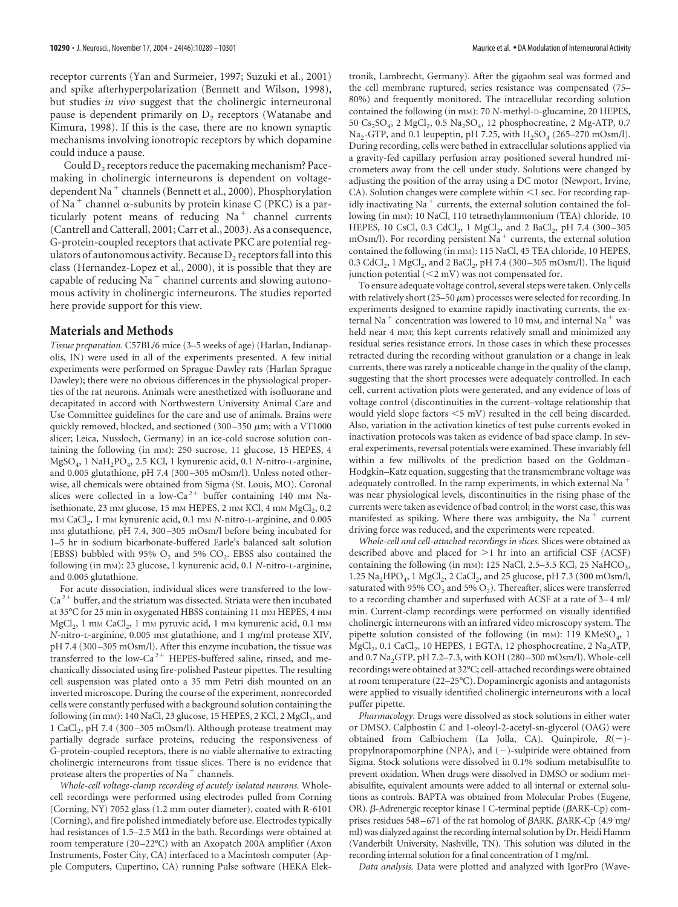receptor currents (Yan and Surmeier, 1997; Suzuki et al., 2001) and spike afterhyperpolarization (Bennett and Wilson, 1998), but studies *in vivo* suggest that the cholinergic interneuronal pause is dependent primarily on  $D_2$  receptors (Watanabe and Kimura, 1998). If this is the case, there are no known synaptic mechanisms involving ionotropic receptors by which dopamine could induce a pause.

Could  $D<sub>2</sub>$  receptors reduce the pacemaking mechanism? Pacemaking in cholinergic interneurons is dependent on voltagedependent Na<sup>+</sup> channels (Bennett et al., 2000). Phosphorylation of Na<sup>+</sup> channel  $\alpha$ -subunits by protein kinase C (PKC) is a particularly potent means of reducing  $Na<sup>+</sup>$  channel currents (Cantrell and Catterall, 2001; Carr et al., 2003). As a consequence, G-protein-coupled receptors that activate PKC are potential regulators of autonomous activity. Because  $D_2$  receptors fall into this class (Hernandez-Lopez et al., 2000), it is possible that they are capable of reducing  $Na<sup>+</sup>$  channel currents and slowing autonomous activity in cholinergic interneurons. The studies reported here provide support for this view.

### **Materials and Methods**

*Tissue preparation.* C57BL/6 mice (3–5 weeks of age) (Harlan, Indianapolis, IN) were used in all of the experiments presented. A few initial experiments were performed on Sprague Dawley rats (Harlan Sprague Dawley); there were no obvious differences in the physiological properties of the rat neurons. Animals were anesthetized with isofluorane and decapitated in accord with Northwestern University Animal Care and Use Committee guidelines for the care and use of animals. Brains were quickly removed, blocked, and sectioned (300-350  $\mu$ m; with a VT1000 slicer; Leica, Nussloch, Germany) in an ice-cold sucrose solution containing the following (in mM): 250 sucrose, 11 glucose, 15 HEPES, 4 MgSO4, 1 NaH2PO4, 2.5 KCl, 1 kynurenic acid, 0.1 *N-*nitro-L-arginine, and 0.005 glutathione, pH 7.4 (300 –305 mOsm/l). Unless noted otherwise, all chemicals were obtained from Sigma (St. Louis, MO). Coronal slices were collected in a low-Ca<sup>2+</sup> buffer containing 140 mm Naisethionate,  $23 \text{ mm}$  glucose,  $15 \text{ mm}$  HEPES,  $2 \text{ mm}$  KCl,  $4 \text{ mm}$  MgCl<sub>2</sub>,  $0.2$ m<sub>M</sub> CaCl<sub>2</sub>, 1 m<sub>M</sub> kynurenic acid, 0.1 m<sub>M</sub> *N*-nitro-L-arginine, and 0.005 m<sub>M</sub> glutathione, pH 7.4, 300-305 mOsm/l before being incubated for 1–5 hr in sodium bicarbonate-buffered Earle's balanced salt solution (EBSS) bubbled with 95%  $O_2$  and 5%  $CO_2$ . EBSS also contained the following (in mM): 23 glucose, 1 kynurenic acid, 0.1 *N-*nitro-L-arginine, and 0.005 glutathione.

For acute dissociation, individual slices were transferred to the low- $Ca<sup>2+</sup>$  buffer, and the striatum was dissected. Striata were then incubated at 35°C for 25 min in oxygenated HBSS containing 11 mm HEPES, 4 mm MgCl<sub>2</sub>, 1 mm CaCl<sub>2</sub>, 1 mm pyruvic acid, 1 mm kynurenic acid, 0.1 mm *N-*nitro-L-arginine, 0.005 mM glutathione, and 1 mg/ml protease XIV, pH 7.4 (300 –305 mOsm/l). After this enzyme incubation, the tissue was transferred to the low-Ca<sup>2+</sup> HEPES-buffered saline, rinsed, and mechanically dissociated using fire-polished Pasteur pipettes. The resulting cell suspension was plated onto a 35 mm Petri dish mounted on an inverted microscope. During the course of the experiment, nonrecorded cells were constantly perfused with a background solution containing the following (in mm): 140 NaCl, 23 glucose, 15 HEPES, 2 KCl, 2 MgCl<sub>2</sub>, and 1 CaCl<sub>2</sub>, pH 7.4 (300-305 mOsm/l). Although protease treatment may partially degrade surface proteins, reducing the responsiveness of G-protein-coupled receptors, there is no viable alternative to extracting cholinergic interneurons from tissue slices. There is no evidence that protease alters the properties of Na $+$ channels.

*Whole-cell voltage-clamp recording of acutely isolated neurons.* Wholecell recordings were performed using electrodes pulled from Corning (Corning, NY) 7052 glass (1.2 mm outer diameter), coated with R-6101 (Corning), and fire polished immediately before use. Electrodes typically had resistances of 1.5–2.5 M $\Omega$  in the bath. Recordings were obtained at room temperature (20 –22°C) with an Axopatch 200A amplifier (Axon Instruments, Foster City, CA) interfaced to a Macintosh computer (Apple Computers, Cupertino, CA) running Pulse software (HEKA Elektronik, Lambrecht, Germany). After the gigaohm seal was formed and the cell membrane ruptured, series resistance was compensated (75– 80%) and frequently monitored. The intracellular recording solution contained the following (in mM): 70 *N-*methyl-D-glucamine, 20 HEPES, 50 Cs<sub>2</sub>SO<sub>4</sub>, 2 MgCl<sub>2</sub>, 0.5 Na<sub>2</sub>SO<sub>4</sub>, 12 phosphocreatine, 2 Mg-ATP, 0.7 Na<sub>2</sub>-GTP, and 0.1 leupeptin, pH 7.25, with  $H_2SO_4$  (265–270 mOsm/l). During recording, cells were bathed in extracellular solutions applied via a gravity-fed capillary perfusion array positioned several hundred micrometers away from the cell under study. Solutions were changed by adjusting the position of the array using a DC motor (Newport, Irvine,  $CA$ ). Solution changes were complete within  $\leq 1$  sec. For recording rapidly inactivating Na<sup>+</sup> currents, the external solution contained the following (in mM): 10 NaCl, 110 tetraethylammonium (TEA) chloride, 10 HEPES, 10 CsCl, 0.3 CdCl<sub>2</sub>, 1 MgCl<sub>2</sub>, and 2 BaCl<sub>2</sub>, pH 7.4 (300-305) mOsm/l). For recording persistent Na<sup>+</sup> currents, the external solution contained the following (in mM): 115 NaCl, 45 TEA chloride, 10 HEPES, 0.3 CdCl<sub>2</sub>, 1 MgCl<sub>2</sub>, and 2 BaCl<sub>2</sub>, pH 7.4 (300 – 305 mOsm/l). The liquid junction potential  $(< 2 mV)$  was not compensated for.

To ensure adequate voltage control, several steps were taken. Only cells with relatively short (25–50  $\mu$ m) processes were selected for recording. In experiments designed to examine rapidly inactivating currents, the external Na<sup>+</sup> concentration was lowered to 10 mm, and internal Na<sup>+</sup> was held near 4 mM; this kept currents relatively small and minimized any residual series resistance errors. In those cases in which these processes retracted during the recording without granulation or a change in leak currents, there was rarely a noticeable change in the quality of the clamp, suggesting that the short processes were adequately controlled. In each cell, current activation plots were generated, and any evidence of loss of voltage control (discontinuities in the current–voltage relationship that would yield slope factors  $\leq$  5 mV) resulted in the cell being discarded. Also, variation in the activation kinetics of test pulse currents evoked in inactivation protocols was taken as evidence of bad space clamp. In several experiments, reversal potentials were examined. These invariably fell within a few millivolts of the prediction based on the Goldman– Hodgkin–Katz equation, suggesting that the transmembrane voltage was adequately controlled. In the ramp experiments, in which external Na<sup>+</sup> was near physiological levels, discontinuities in the rising phase of the currents were taken as evidence of bad control; in the worst case, this was manifested as spiking. Where there was ambiguity, the Na<sup>+</sup> current driving force was reduced, and the experiments were repeated.

*Whole-cell and cell-attached recordings in slices.* Slices were obtained as described above and placed for  $>1$  hr into an artificial CSF (ACSF) containing the following (in mm): 125 NaCl, 2.5–3.5 KCl, 25 NaHCO<sub>3</sub>, 1.25  $\text{Na}_2\text{HPO}_4$ , 1  $\text{MgCl}_2$ , 2  $\text{CaCl}_2$ , and 25 glucose, pH 7.3 (300 mOsm/l, saturated with 95% CO<sub>2</sub> and 5% O<sub>2</sub>). Thereafter, slices were transferred to a recording chamber and superfused with ACSF at a rate of 3-4 ml/ min. Current-clamp recordings were performed on visually identified cholinergic interneurons with an infrared video microscopy system. The pipette solution consisted of the following (in mM): 119 KMeSO<sub>4</sub>, 1 MgCl<sub>2</sub>, 0.1 CaCl<sub>2</sub>, 10 HEPES, 1 EGTA, 12 phosphocreatine, 2 Na<sub>2</sub>ATP, and 0.7 Na<sub>2</sub>GTP, pH 7.2–7.3, with KOH (280–300 mOsm/l). Whole-cell recordings were obtained at 32°C; cell-attached recordings were obtained at room temperature (22–25°C). Dopaminergic agonists and antagonists were applied to visually identified cholinergic interneurons with a local puffer pipette.

*Pharmacology.* Drugs were dissolved as stock solutions in either water or DMSO. Calphostin C and 1-oleoyl-2-acetyl-sn-glycerol (OAG) were obtained from Calbiochem (La Jolla, CA). Quinpirole,  $R(-)$ propylnorapomorphine (NPA), and  $(-)$ -sulpiride were obtained from Sigma. Stock solutions were dissolved in 0.1% sodium metabisulfite to prevent oxidation. When drugs were dissolved in DMSO or sodium metabisulfite, equivalent amounts were added to all internal or external solutions as controls. BAPTA was obtained from Molecular Probes (Eugene, OR).  $\beta$ -Adrenergic receptor kinase 1 C-terminal peptide ( $\beta$ ARK-Cp) comprises residues  $548 - 671$  of the rat homolog of  $\beta$ ARK.  $\beta$ ARK-Cp (4.9 mg/ ml) was dialyzed against the recording internal solution by Dr. Heidi Hamm (Vanderbilt University, Nashville, TN). This solution was diluted in the recording internal solution for a final concentration of 1 mg/ml.

*Data analysis.* Data were plotted and analyzed with IgorPro (Wave-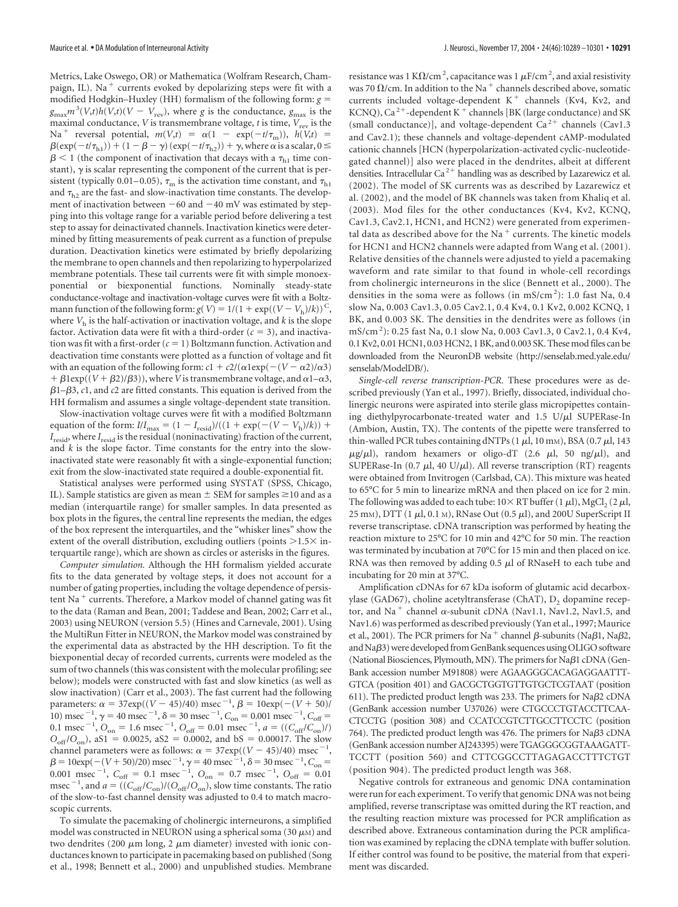Metrics, Lake Oswego, OR) or Mathematica (Wolfram Research, Champaign, IL). Na<sup>+</sup> currents evoked by depolarizing steps were fit with a modified Hodgkin–Huxley (HH) formalism of the following form: *g*  $g_{\text{max}} m^3 (V,t) h(V,t) (V - V_{\text{rev}})$ , where *g* is the conductance,  $g_{\text{max}}$  is the maximal conductance, *V* is transmembrane voltage, *t* is time,  $V_{rev}$  is the Na<sup>+</sup> reversal potential,  $m(V,t) = \alpha(1 - \exp(-t/\tau_m))$ ,  $h(V,t) =$  $\beta(\exp(-t/\tau_{h1})) + (1 - \beta - \gamma) (\exp(-t/\tau_{h2})) + \gamma$ , where  $\alpha$  is a scalar,  $0 \le$  $\beta$  < 1 (the component of inactivation that decays with a  $\tau_{h1}$  time constant),  $\gamma$  is scalar representing the component of the current that is persistent (typically 0.01–0.05),  $\tau_m$  is the activation time constant, and  $\tau_{h1}$ and  $\tau_{h2}$  are the fast- and slow-inactivation time constants. The development of inactivation between  $-60$  and  $-40$  mV was estimated by stepping into this voltage range for a variable period before delivering a test step to assay for deinactivated channels. Inactivation kinetics were determined by fitting measurements of peak current as a function of prepulse duration. Deactivation kinetics were estimated by briefly depolarizing the membrane to open channels and then repolarizing to hyperpolarized membrane potentials. These tail currents were fit with simple monoexponential or biexponential functions. Nominally steady-state conductance-voltage and inactivation-voltage curves were fit with a Boltzmann function of the following form:  $g(V) = 1/(1 + \exp((V - V_h)/k))^C$ , where  $V<sub>h</sub>$  is the half-activation or inactivation voltage, and  $k$  is the slope factor. Activation data were fit with a third-order  $(c = 3)$ , and inactivation was fit with a first-order  $(c = 1)$  Boltzmann function. Activation and deactivation time constants were plotted as a function of voltage and fit with an equation of the following form:  $c1 + c2/(\alpha 1 \exp(-(V - \alpha 2)/\alpha 3)$  $+ \beta \text{1exp}((V + \beta 2)/\beta 3)$ , where *V* is transmembrane voltage, and  $\alpha \text{1} - \alpha \text{3}$ ,  $\beta$ 1– $\beta$ 3, *c*1, and *c*2 are fitted constants. This equation is derived from the HH formalism and assumes a single voltage-dependent state transition.

Slow-inactivation voltage curves were fit with a modified Boltzmann equation of the form:  $I/I_{\text{max}} = (1 - I_{\text{resid}}) / ((1 + \exp(-(V - V_{\text{h}})/k)) +$ *I*resid, where *I*resid is the residual (noninactivating) fraction of the current, and *k* is the slope factor. Time constants for the entry into the slowinactivated state were reasonably fit with a single-exponential function; exit from the slow-inactivated state required a double-exponential fit.

Statistical analyses were performed using SYSTAT (SPSS, Chicago, IL). Sample statistics are given as mean  $\pm$  SEM for samples  $\geq$ 10 and as a median (interquartile range) for smaller samples. In data presented as box plots in the figures, the central line represents the median, the edges of the box represent the interquartiles, and the "whisker lines" show the extent of the overall distribution, excluding outliers (points  $>1.5\times$  interquartile range), which are shown as circles or asterisks in the figures.

*Computer simulation.* Although the HH formalism yielded accurate fits to the data generated by voltage steps, it does not account for a number of gating properties, including the voltage dependence of persistent Na<sup>+</sup> currents. Therefore, a Markov model of channel gating was fit to the data (Raman and Bean, 2001; Taddese and Bean, 2002; Carr et al., 2003) using NEURON (version 5.5) (Hines and Carnevale, 2001). Using the MultiRun Fitter in NEURON, the Markov model was constrained by the experimental data as abstracted by the HH description. To fit the biexponential decay of recorded currents, currents were modeled as the sum of two channels (this was consistent with the molecular profiling; see below); models were constructed with fast and slow kinetics (as well as slow inactivation) (Carr et al., 2003). The fast current had the following parameters:  $\alpha = 37 \exp((V - 45)/40) \text{ msec}^{-1}, \beta = 10 \exp(-(V + 50)/6)$ 10) msec<sup>-1</sup>,  $\gamma = 40$  msec<sup>-1</sup>,  $\delta = 30$  msec<sup>-1</sup>,  $C_{on} = 0.001$  msec<sup>-1</sup>,  $C_{off} =$ 0.1 msec<sup>-1</sup>,  $O_{on} = 1.6$  msec<sup>-1</sup>,  $O_{off} = 0.01$  msec<sup>-1</sup>,  $a = ((C_{off}/C_{on})/$  $O_{\text{off}}/O_{\text{on}}$ ), aS1 = 0.0025, aS2 = 0.0002, and bS = 0.00017. The slow channel parameters were as follows:  $\alpha = 37 \exp((V - 45)/40) \text{ msec}^{-1}$ ,<br>  $\beta = 10 \exp(-(V + 50)/20) \text{ msec}^{-1}$ ,  $\gamma = 40 \text{ msec}^{-1}$ ,  $\delta = 30 \text{ msec}^{-1}$ ,  $C_{\text{on}} =$ 0.001 msec<sup>-1</sup>,  $C_{\text{off}} = 0.1$  msec<sup>-1</sup>,  $O_{\text{on}} = 0.7$  msec<sup>-1</sup>,  $O_{\text{off}} = 0.01$ msec<sup>-1</sup>, and  $a = ((C_{\text{off}}/C_{\text{on}})/(O_{\text{off}}/O_{\text{on}}))$ , slow time constants. The ratio of the slow-to-fast channel density was adjusted to 0.4 to match macroscopic currents.

To simulate the pacemaking of cholinergic interneurons, a simplified model was constructed in NEURON using a spherical soma (30  $\mu$ M) and two dendrites (200  $\mu$ m long, 2  $\mu$ m diameter) invested with ionic conductances known to participate in pacemaking based on published (Song et al., 1998; Bennett et al., 2000) and unpublished studies. Membrane

resistance was 1 K $\Omega$ /cm<sup>2</sup>, capacitance was 1  $\mu$ F/cm<sup>2</sup>, and axial resistivity was 70  $\Omega$ /cm. In addition to the Na  $^+$  channels described above, somatic currents included voltage-dependent  $K^+$  channels (Kv4, Kv2, and KCNQ), Ca<sup>2+</sup>-dependent K<sup>+</sup> channels [BK (large conductance) and SK (small conductance)], and voltage-dependent  $Ca^{2+}$  channels (Cav1.3) and Cav2.1); these channels and voltage-dependent cAMP-modulated cationic channels [HCN (hyperpolarization-activated cyclic-nucleotidegated channel)] also were placed in the dendrites, albeit at different densities. Intracellular Ca<sup>2+</sup> handling was as described by Lazarewicz et al. (2002). The model of SK currents was as described by Lazarewicz et al. (2002), and the model of BK channels was taken from Khaliq et al. (2003). Mod files for the other conductances (Kv4, Kv2, KCNQ, Cav1.3, Cav2.1, HCN1, and HCN2) were generated from experimental data as described above for the Na $^+$  currents. The kinetic models for HCN1 and HCN2 channels were adapted from Wang et al. (2001). Relative densities of the channels were adjusted to yield a pacemaking waveform and rate similar to that found in whole-cell recordings from cholinergic interneurons in the slice (Bennett et al., 2000). The densities in the soma were as follows (in mS/cm<sup>2</sup>): 1.0 fast Na, 0.4 slow Na, 0.003 Cav1.3, 0.05 Cav2.1, 0.4 Kv4, 0.1 Kv2, 0.002 KCNQ, 1 BK, and 0.003 SK. The densities in the dendrites were as follows (in mS/cm <sup>2</sup> ): 0.25 fast Na, 0.1 slow Na, 0.003 Cav1.3, 0 Cav2.1, 0.4 Kv4, 0.1 Kv2, 0.01 HCN1, 0.03 HCN2, 1 BK, and 0.003 SK. These mod files can be downloaded from the NeuronDB website (http://senselab.med.yale.edu/ senselab/ModelDB/).

*Single-cell reverse transcription-PCR.* These procedures were as described previously (Yan et al., 1997). Briefly, dissociated, individual cholinergic neurons were aspirated into sterile glass micropipettes containing diethylpyrocarbonate-treated water and  $1.5$  U/ $\mu$ l SUPERase-In (Ambion, Austin, TX). The contents of the pipette were transferred to thin-walled PCR tubes containing dNTPs  $(1 \mu l, 10 \text{ mm})$ , BSA  $(0.7 \mu l, 143$  $\mu$ g/ $\mu$ l), random hexamers or oligo-dT (2.6  $\mu$ l, 50 ng/ $\mu$ l), and SUPERase-In (0.7  $\mu$ l, 40 U/ $\mu$ l). All reverse transcription (RT) reagents were obtained from Invitrogen (Carlsbad, CA). This mixture was heated to 65°C for 5 min to linearize mRNA and then placed on ice for 2 min. The following was added to each tube:  $10 \times RT$  buffer (1  $\mu$ l), MgCl<sub>2</sub> (2  $\mu$ l,  $25 \text{ mm}$ ), DTT (1  $\mu$ l, 0.1 m), RNase Out (0.5  $\mu$ l), and 200U SuperScript II reverse transcriptase. cDNA transcription was performed by heating the reaction mixture to 25°C for 10 min and 42°C for 50 min. The reaction was terminated by incubation at 70°C for 15 min and then placed on ice. RNA was then removed by adding  $0.5 \mu$ l of RNaseH to each tube and incubating for 20 min at 37°C.

Amplification cDNAs for 67 kDa isoform of glutamic acid decarboxylase (GAD67), choline acetyltransferase (ChAT),  $D_2$  dopamine receptor, and Na<sup>+</sup> channel  $\alpha$ -subunit cDNA (Nav1.1, Nav1.2, Nav1.5, and Nav1.6) was performed as described previously (Yan et al., 1997; Maurice et al., 2001). The PCR primers for Na<sup>+</sup> channel  $\beta$ -subunits (Na $\beta$ 1, Na $\beta$ 2, and Na $\beta$ 3) were developed from GenBank sequences using OLIGO software (National Biosciences, Plymouth, MN). The primers for Na $\beta$ 1 cDNA (Gen-Bank accession number M91808) were AGAAGGGCACAGAGGAATTT-GTCA (position 401) and GACGCTGGTGTTGTGCTCGTAAT (position 611). The predicted product length was 233. The primers for Na $\beta$ 2 cDNA (GenBank accession number U37026) were CTGCCCTGTACCTTCAA-CTCCTG (position 308) and CCATCCGTCTTGCCTTCCTC (position 764). The predicted product length was 476. The primers for Na $\beta$ 3 cDNA (GenBank accession number AJ243395) were TGAGGGCGGTAAAGATT-TCCTT (position 560) and CTTCGGCCTTAGAGACCTTTCTGT (position 904). The predicted product length was 368.

Negative controls for extraneous and genomic DNA contamination were run for each experiment. To verify that genomic DNA was not being amplified, reverse transcriptase was omitted during the RT reaction, and the resulting reaction mixture was processed for PCR amplification as described above. Extraneous contamination during the PCR amplification was examined by replacing the cDNA template with buffer solution. If either control was found to be positive, the material from that experiment was discarded.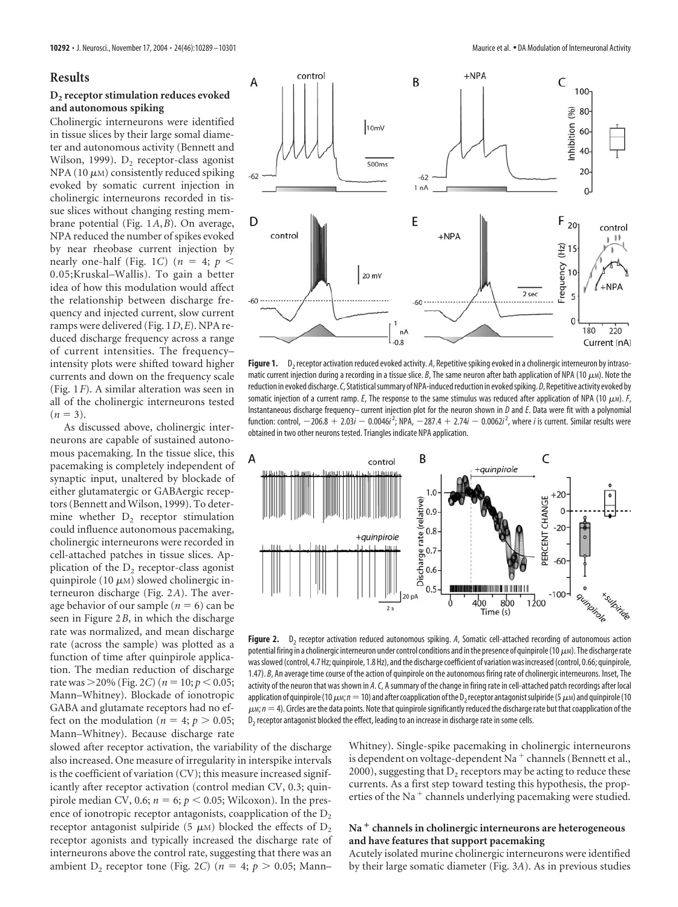#### **Results**

## **D2 receptor stimulation reduces evoked and autonomous spiking**

Cholinergic interneurons were identified in tissue slices by their large somal diameter and autonomous activity (Bennett and Wilson, 1999).  $D_2$  receptor-class agonist NPA (10  $\mu$ M) consistently reduced spiking evoked by somatic current injection in cholinergic interneurons recorded in tissue slices without changing resting membrane potential (Fig. 1*A*,*B*). On average, NPA reduced the number of spikes evoked by near rheobase current injection by nearly one-half (Fig. 1*C*) ( $n = 4$ ;  $p <$ 0.05;Kruskal–Wallis). To gain a better idea of how this modulation would affect the relationship between discharge frequency and injected current, slow current ramps were delivered (Fig. 1*D*,*E*). NPA reduced discharge frequency across a range of current intensities. The frequency– intensity plots were shifted toward higher currents and down on the frequency scale (Fig. 1*F*). A similar alteration was seen in all of the cholinergic interneurons tested  $(n = 3)$ .

As discussed above, cholinergic interneurons are capable of sustained autonomous pacemaking. In the tissue slice, this pacemaking is completely independent of synaptic input, unaltered by blockade of either glutamatergic or GABAergic receptors (Bennett and Wilson, 1999). To determine whether  $D<sub>2</sub>$  receptor stimulation could influence autonomous pacemaking, cholinergic interneurons were recorded in cell-attached patches in tissue slices. Application of the  $D<sub>2</sub>$  receptor-class agonist quinpirole (10  $\mu$ M) slowed cholinergic interneuron discharge (Fig. 2*A*). The average behavior of our sample ( $n = 6$ ) can be seen in Figure 2*B*, in which the discharge rate was normalized, and mean discharge rate (across the sample) was plotted as a function of time after quinpirole application. The median reduction of discharge rate was  $>$  20% (Fig. 2*C*) ( $n = 10$ ;  $p < 0.05$ ; Mann–Whitney). Blockade of ionotropic GABA and glutamate receptors had no effect on the modulation ( $n = 4$ ;  $p > 0.05$ ; Mann–Whitney). Because discharge rate



Figure 1. D<sub>2</sub> receptor activation reduced evoked activity. A, Repetitive spiking evoked in a cholinergic interneuron by intrasomatic current injection during a recording in a tissue slice.  $B$ , The same neuron after bath application of NPA (10  $\mu$ *M*). Note the reduction in evoked discharge. C, Statistical summary of NPA-induced reduction in evoked spiking. D, Repetitive activity evoked by somatic injection of a current ramp.  $E$ , The response to the same stimulus was reduced after application of NPA (10  $\mu$ <sub>M</sub>).  $F$ , Instantaneous discharge frequency– current injection plot for the neuron shown in *D* and *E*. Data were fit with a polynomial function: control,  $-206.8 + 2.03$ *i*  $-$  0.0046*i*<sup>2</sup>; NPA,  $-287.4 + 2.74$   $-$  0.0062*i*<sup>2</sup>, where *i* is current. Similar results were obtained in two other neurons tested. Triangles indicate NPA application.



Figure 2. D<sub>2</sub> receptor activation reduced autonomous spiking. A, Somatic cell-attached recording of autonomous action potential firing in a cholinergic interneuron under control conditions and in the presence of quinpirole (10  $\mu$ M). The discharge rate was slowed (control, 4.7 Hz; quinpirole, 1.8 Hz), and the discharge coefficient of variation was increased (control, 0.66; quinpirole, 1.47). *B*, An average time course of the action of quinpirole on the autonomous firing rate of cholinergic interneurons. Inset, The activity of the neuron that was shown in *A*.*C*, A summary of the change in firing rate in cell-attached patch recordings after local application of quinpirole (10  $\mu$ *m*;  $n=10$ ) and after coapplication of the D<sub>2</sub> receptor antagonist sulpiride (5  $\mu$ *m*) and quinpirole (10  $\mu$ <sub>M</sub>;  $n=4$ ). Circles are the data points. Note that quinpirole significantly reduced the discharge rate but that coapplication of the  $D<sub>2</sub>$  receptor antagonist blocked the effect, leading to an increase in discharge rate in some cells.

slowed after receptor activation, the variability of the discharge also increased. One measure of irregularity in interspike intervals is the coefficient of variation (CV); this measure increased significantly after receptor activation (control median CV, 0.3; quinpirole median CV, 0.6;  $n = 6$ ;  $p < 0.05$ ; Wilcoxon). In the presence of ionotropic receptor antagonists, coapplication of the  $D_2$ receptor antagonist sulpiride (5  $\mu$ M) blocked the effects of D<sub>2</sub> receptor agonists and typically increased the discharge rate of interneurons above the control rate, suggesting that there was an ambient D<sub>2</sub> receptor tone (Fig. 2*C*) ( $n = 4$ ;  $p > 0.05$ ; Mann–

Whitney). Single-spike pacemaking in cholinergic interneurons is dependent on voltage-dependent Na<sup>+</sup> channels (Bennett et al.,  $2000$ ), suggesting that  $D<sub>2</sub>$  receptors may be acting to reduce these currents. As a first step toward testing this hypothesis, the properties of the Na<sup>+</sup> channels underlying pacemaking were studied.

#### **Na channels in cholinergic interneurons are heterogeneous and have features that support pacemaking**

Acutely isolated murine cholinergic interneurons were identified by their large somatic diameter (Fig. 3*A*). As in previous studies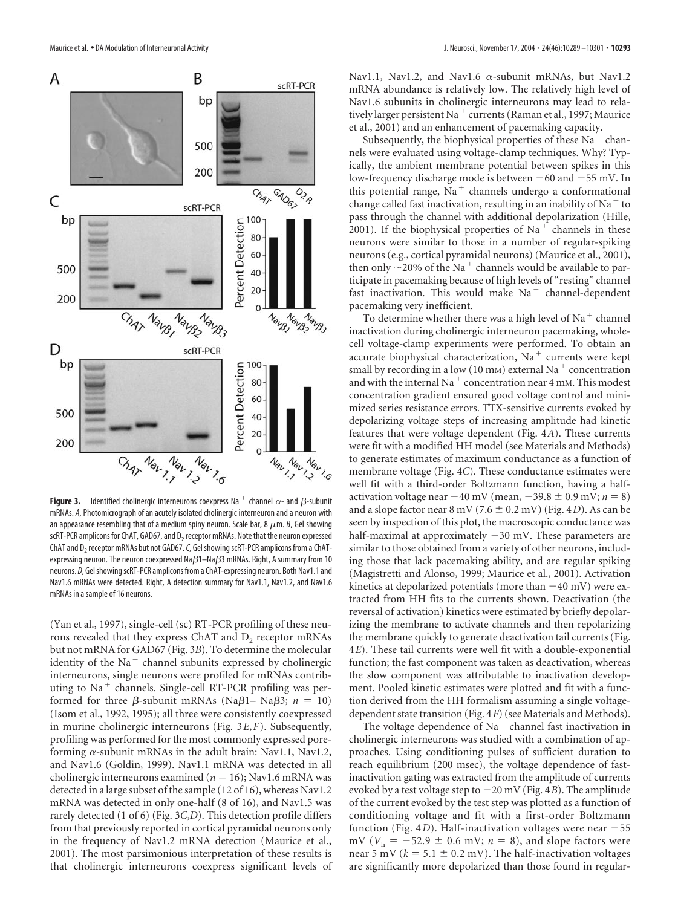

**Figure 3.** Identified cholinergic interneurons coexpress Na  $^+$  channel  $\alpha$ - and  $\beta$ -subunit mRNAs. *A*, Photomicrograph of an acutely isolated cholinergic interneuron and a neuron with an appearance resembling that of a medium spiny neuron. Scale bar, 8  $\mu$ m. *B*, Gel showing scRT-PCR amplicons for ChAT, GAD67, and D<sub>2</sub> receptor mRNAs. Note that the neuron expressed ChAT and D<sub>2</sub> receptor mRNAs but not GAD67. *C*, Gel showing scRT-PCR amplicons from a ChATexpressing neuron. The neuron coexpressed Na $\beta$ 1–Na $\beta$ 3 mRNAs. Right, A summary from 10 neurons. *D*, Gel showing scRT-PCR amplicons from a ChAT-expressing neuron. Both Nav1.1 and Nav1.6 mRNAs were detected. Right, A detection summary for Nav1.1, Nav1.2, and Nav1.6 mRNAs in a sample of 16 neurons.

(Yan et al., 1997), single-cell (sc) RT-PCR profiling of these neurons revealed that they express ChAT and  $D<sub>2</sub>$  receptor mRNAs but not mRNA for GAD67 (Fig. 3*B*). To determine the molecular identity of the Na<sup>+</sup> channel subunits expressed by cholinergic interneurons, single neurons were profiled for mRNAs contributing to  $Na<sup>+</sup>$  channels. Single-cell RT-PCR profiling was performed for three  $\beta$ -subunit mRNAs (Na $\beta$ 1– Na $\beta$ 3;  $n = 10$ ) (Isom et al., 1992, 1995); all three were consistently coexpressed in murine cholinergic interneurons (Fig. 3*E*,*F*). Subsequently, profiling was performed for the most commonly expressed poreforming  $\alpha$ -subunit mRNAs in the adult brain: Nav1.1, Nav1.2, and Nav1.6 (Goldin, 1999). Nav1.1 mRNA was detected in all cholinergic interneurons examined ( $n = 16$ ); Nav1.6 mRNA was detected in a large subset of the sample (12 of 16), whereas Nav1.2 mRNA was detected in only one-half (8 of 16), and Nav1.5 was rarely detected (1 of 6) (Fig. 3*C*,*D*). This detection profile differs from that previously reported in cortical pyramidal neurons only in the frequency of Nav1.2 mRNA detection (Maurice et al., 2001). The most parsimonious interpretation of these results is that cholinergic interneurons coexpress significant levels of

Nav1.1, Nav1.2, and Nav1.6  $\alpha$ -subunit mRNAs, but Nav1.2 mRNA abundance is relatively low. The relatively high level of Nav1.6 subunits in cholinergic interneurons may lead to relatively larger persistent Na<sup>+</sup> currents (Raman et al., 1997; Maurice et al., 2001) and an enhancement of pacemaking capacity.

Subsequently, the biophysical properties of these  $Na<sup>+</sup>$  channels were evaluated using voltage-clamp techniques. Why? Typically, the ambient membrane potential between spikes in this low-frequency discharge mode is between  $-60$  and  $-55$  mV. In this potential range,  $Na<sup>+</sup>$  channels undergo a conformational change called fast inactivation, resulting in an inability of Na<sup> $+$ </sup> to pass through the channel with additional depolarization (Hille, 2001). If the biophysical properties of  $Na<sup>+</sup>$  channels in these neurons were similar to those in a number of regular-spiking neurons (e.g., cortical pyramidal neurons) (Maurice et al., 2001), then only  $\sim$ 20% of the Na<sup>+</sup> channels would be available to participate in pacemaking because of high levels of "resting" channel fast inactivation. This would make  $Na<sup>+</sup>$  channel-dependent pacemaking very inefficient.

To determine whether there was a high level of Na $^+$  channel inactivation during cholinergic interneuron pacemaking, wholecell voltage-clamp experiments were performed. To obtain an accurate biophysical characterization, Na<sup>+</sup> currents were kept small by recording in a low (10 mm) external Na<sup>+</sup> concentration and with the internal Na<sup>+</sup> concentration near 4 mm. This modest concentration gradient ensured good voltage control and minimized series resistance errors. TTX-sensitive currents evoked by depolarizing voltage steps of increasing amplitude had kinetic features that were voltage dependent (Fig. 4*A*). These currents were fit with a modified HH model (see Materials and Methods) to generate estimates of maximum conductance as a function of membrane voltage (Fig. 4*C*). These conductance estimates were well fit with a third-order Boltzmann function, having a halfactivation voltage near  $-40$  mV (mean,  $-39.8 \pm 0.9$  mV;  $n = 8$ ) and a slope factor near  $8 \text{ mV} (7.6 \pm 0.2 \text{ mV})$  (Fig. 4*D*). As can be seen by inspection of this plot, the macroscopic conductance was half-maximal at approximately  $-30$  mV. These parameters are similar to those obtained from a variety of other neurons, including those that lack pacemaking ability, and are regular spiking (Magistretti and Alonso, 1999; Maurice et al., 2001). Activation kinetics at depolarized potentials (more than  $-40$  mV) were extracted from HH fits to the currents shown. Deactivation (the reversal of activation) kinetics were estimated by briefly depolarizing the membrane to activate channels and then repolarizing the membrane quickly to generate deactivation tail currents (Fig. 4*E*). These tail currents were well fit with a double-exponential function; the fast component was taken as deactivation, whereas the slow component was attributable to inactivation development. Pooled kinetic estimates were plotted and fit with a function derived from the HH formalism assuming a single voltagedependent state transition (Fig. 4*F*) (see Materials and Methods).

The voltage dependence of Na<sup>+</sup> channel fast inactivation in cholinergic interneurons was studied with a combination of approaches. Using conditioning pulses of sufficient duration to reach equilibrium (200 msec), the voltage dependence of fastinactivation gating was extracted from the amplitude of currents evoked by a test voltage step to  $-20$  mV (Fig. 4*B*). The amplitude of the current evoked by the test step was plotted as a function of conditioning voltage and fit with a first-order Boltzmann function (Fig. 4*D*). Half-inactivation voltages were near  $-55$ mV ( $V_h = -52.9 \pm 0.6$  mV;  $n = 8$ ), and slope factors were near 5 mV ( $k = 5.1 \pm 0.2$  mV). The half-inactivation voltages are significantly more depolarized than those found in regular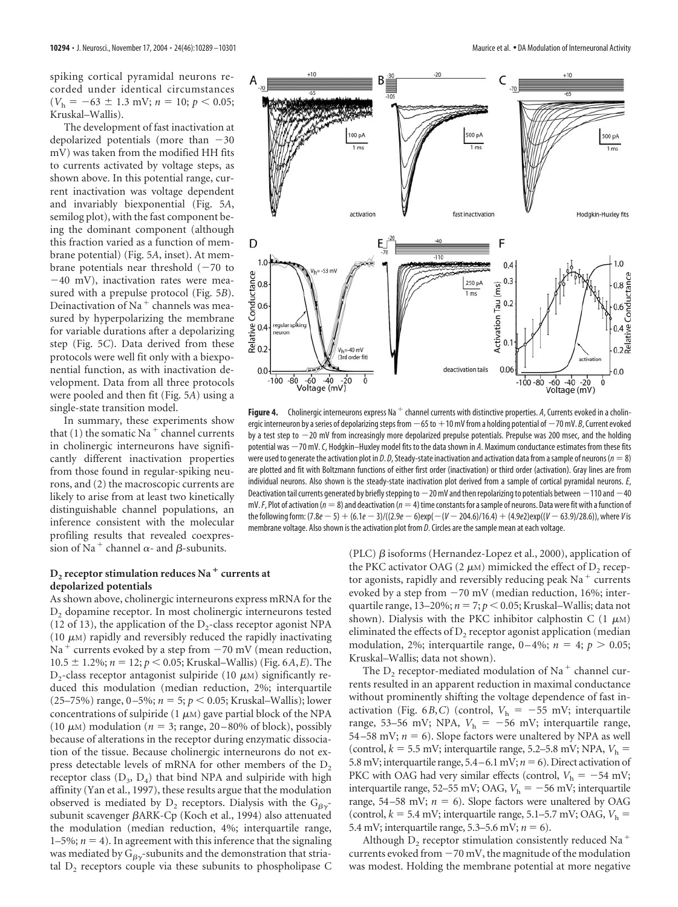spiking cortical pyramidal neurons recorded under identical circumstances  $(V<sub>h</sub> = -63 \pm 1.3 \text{ mV}; n = 10; p < 0.05;$ Kruskal–Wallis).

The development of fast inactivation at depolarized potentials (more than  $-30$ mV) was taken from the modified HH fits to currents activated by voltage steps, as shown above. In this potential range, current inactivation was voltage dependent and invariably biexponential (Fig. 5*A*, semilog plot), with the fast component being the dominant component (although this fraction varied as a function of membrane potential) (Fig. 5*A*, inset). At membrane potentials near threshold  $(-70$  to  $-40$  mV), inactivation rates were measured with a prepulse protocol (Fig. 5*B*). Deinactivation of Na<sup>+</sup> channels was measured by hyperpolarizing the membrane for variable durations after a depolarizing step (Fig. 5*C*). Data derived from these protocols were well fit only with a biexponential function, as with inactivation development. Data from all three protocols were pooled and then fit (Fig. 5*A*) using a single-state transition model.

In summary, these experiments show that (1) the somatic Na<sup>+</sup> channel currents in cholinergic interneurons have significantly different inactivation properties from those found in regular-spiking neurons, and (2) the macroscopic currents are likely to arise from at least two kinetically distinguishable channel populations, an inference consistent with the molecular profiling results that revealed coexpression of Na<sup>+</sup> channel  $\alpha$ - and  $\beta$ -subunits.

#### $D_2$  **receptor stimulation reduces Na**  $^+$  currents at **depolarized potentials**

As shown above, cholinergic interneurons express mRNA for the D<sub>2</sub> dopamine receptor. In most cholinergic interneurons tested (12 of 13), the application of the  $D_2$ -class receptor agonist NPA (10  $\mu$ M) rapidly and reversibly reduced the rapidly inactivating Na<sup>+</sup> currents evoked by a step from  $-70$  mV (mean reduction,  $10.5 \pm 1.2\%$ ;  $n = 12$ ;  $p < 0.05$ ; Kruskal–Wallis) (Fig. 6*A*,*E*). The  $D_2$ -class receptor antagonist sulpiride (10  $\mu$ M) significantly reduced this modulation (median reduction, 2%; interquartile  $(25–75%)$  range,  $0–5\%$ ;  $n = 5$ ;  $p < 0.05$ ; Kruskal–Wallis); lower concentrations of sulpiride (1  $\mu$ M) gave partial block of the NPA (10  $\mu$ M) modulation ( $n = 3$ ; range, 20–80% of block), possibly because of alterations in the receptor during enzymatic dissociation of the tissue. Because cholinergic interneurons do not express detectable levels of mRNA for other members of the  $D<sub>2</sub>$ receptor class  $(D_3, D_4)$  that bind NPA and sulpiride with high affinity (Yan et al., 1997), these results argue that the modulation observed is mediated by  $D_2$  receptors. Dialysis with the  $G_{\beta\gamma}$ subunit scavenger ARK-Cp (Koch et al., 1994) also attenuated the modulation (median reduction, 4%; interquartile range, 1–5%;  $n = 4$ ). In agreement with this inference that the signaling was mediated by  $G_{\beta\gamma}$ -subunits and the demonstration that striatal  $D<sub>2</sub>$  receptors couple via these subunits to phospholipase C



**Figure 4.** Cholinergic interneurons express Na  $^+$  channel currents with distinctive properties. A, Currents evoked in a cholinergic interneuron by a series of depolarizing steps from  $-65$  to  $+10$  mV from a holding potential of  $-70$  mV. *B*, Current evoked by a test step to  $-20$  mV from increasingly more depolarized prepulse potentials. Prepulse was 200 msec, and the holding potential was  $-70$  mV. *C*, Hodgkin–Huxley model fits to the data shown in *A*. Maximum conductance estimates from these fits were used to generate the activation plot in *D. D*, Steady-state inactivation and activation data from a sample of neurons ( $n = 8$ ) are plotted and fit with Boltzmann functions of either first order (inactivation) or third order (activation). Gray lines are from individual neurons. Also shown is the steady-state inactivation plot derived from a sample of cortical pyramidal neurons. *E*, Deactivation tail currents generated by briefly stepping to  $-20$  mV and then repolarizing to potentials between  $-110$  and  $-40$  $mV$ .*F*, Plot of activation ( $n = 8$ ) and deactivation ( $n = 4$ ) time constants for a sample of neurons. Data were fit with a function of the following form: (7.8*e* - 5) + (6.1*e* - 3)/((2.9*e* - 6)exp(-(*V* - 204.6)/16.4) + (4.9*e*2)exp((*V* - 63.9)/28.6)), where *V* is membrane voltage. Also shown is the activation plot from *D*. Circles are the sample mean at each voltage.

(PLC)  $\beta$  isoforms (Hernandez-Lopez et al., 2000), application of the PKC activator OAG (2  $\mu$ M) mimicked the effect of D<sub>2</sub> receptor agonists, rapidly and reversibly reducing peak  $Na<sup>+</sup>$  currents evoked by a step from  $-70$  mV (median reduction, 16%; interquartile range,  $13-20\%$ ;  $n = 7$ ;  $p < 0.05$ ; Kruskal–Wallis; data not shown). Dialysis with the PKC inhibitor calphostin C  $(1 \mu M)$ eliminated the effects of  $D<sub>2</sub>$  receptor agonist application (median modulation, 2%; interquartile range,  $0-4\%$ ;  $n = 4$ ;  $p > 0.05$ ; Kruskal–Wallis; data not shown).

The  $D_2$  receptor-mediated modulation of Na<sup>+</sup> channel currents resulted in an apparent reduction in maximal conductance without prominently shifting the voltage dependence of fast inactivation (Fig. 6*B*,*C*) (control,  $V<sub>h</sub> = -55$  mV; interquartile range, 53-56 mV; NPA,  $V<sub>h</sub> = -56$  mV; interquartile range, 54 – 58 mV;  $n = 6$ ). Slope factors were unaltered by NPA as well (control,  $k = 5.5$  mV; interquartile range, 5.2–5.8 mV; NPA,  $V<sub>h</sub>$  = 5.8 mV; interquartile range,  $5.4 - 6.1$  mV;  $n = 6$ ). Direct activation of PKC with OAG had very similar effects (control,  $V<sub>h</sub> = -54$  mV; interquartile range, 52–55 mV; OAG,  $V_h = -56$  mV; interquartile range, 54–58 mV;  $n = 6$ ). Slope factors were unaltered by OAG (control,  $k = 5.4$  mV; interquartile range, 5.1–5.7 mV; OAG,  $V<sub>h</sub>$  = 5.4 mV; interquartile range,  $5.3-5.6$  mV;  $n = 6$ ).

Although  $D<sub>2</sub>$  receptor stimulation consistently reduced Na<sup>+</sup> currents evoked from  $-70$  mV, the magnitude of the modulation was modest. Holding the membrane potential at more negative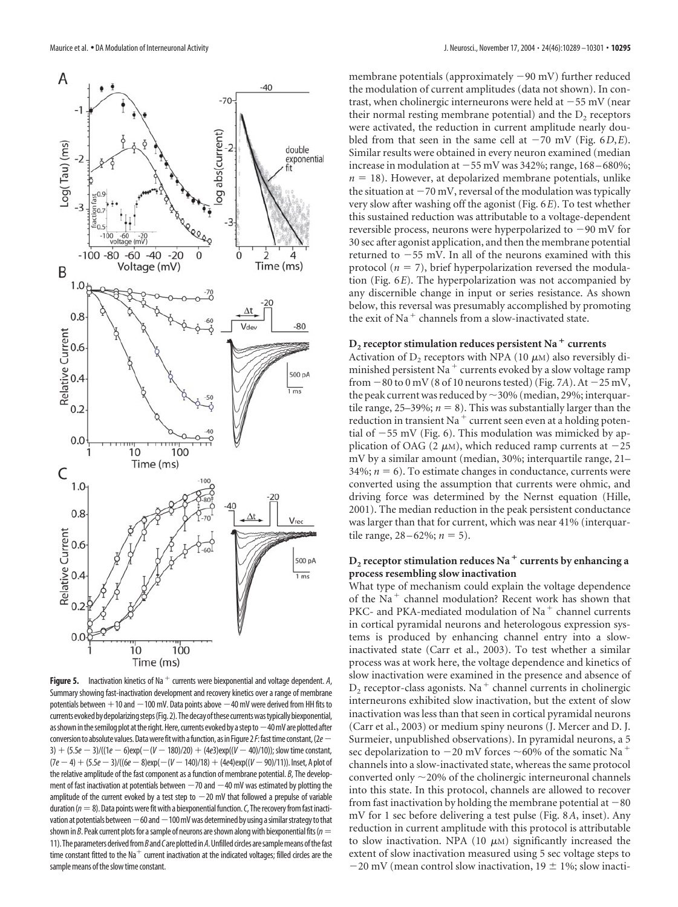

**Figure 5.** Inactivation kinetics of Na<sup> $+$ </sup> currents were biexponential and voltage dependent. A, Summary showing fast-inactivation development and recovery kinetics over a range of membrane potentials between  $+10$  and  $-100$  mV. Data points above  $-40$  mV were derived from HH fits to currents evoked by depolarizing steps (Fig. 2). The decay of these currents was typically biexponential, as shown in the semilog plot at the right. Here, currents evoked by a step to  $-40$  mV are plotted after conversionto absolute values.Datawerefitwith afunction, asin Figure2*F*:fasttime constant,(2*e* 3)  $+$  (5.5*e*  $-$  3)/((1*e*  $-$  6)exp( $-(V - 180)/20$ )  $+$  (4*e*3)exp(( $V - 40$ )/10)); slow time constant,  $(7e-4) + (5.5e-3)/((6e-8)exp(-(V-140)/18) + (4e4)exp((V-90)/11))$ . Inset, A plot of the relative amplitude of the fast component as a function of membrane potential. *B*, The development of fast inactivation at potentials between  $-70$  and  $-40$  mV was estimated by plotting the amplitude of the current evoked by a test step to  $-20$  mV that followed a prepulse of variable duration ( $n=8$ ). Data points were fit with a biexponential function. *C*, The recovery from fast inactivation at potentials between  $-60$  and  $-100$  mV was determined by using a similar strategy to that shown in *B*. Peak current plots for a sample of neurons are shown along with biexponential fits (*n* = 11). The parameters derived from *B* and *C* are plotted in *A*. Unfilled circles are sample means of the fast time constant fitted to the Na<sup>+</sup> current inactivation at the indicated voltages; filled circles are the sample means of the slow time constant.

membrane potentials (approximately  $-90$  mV) further reduced the modulation of current amplitudes (data not shown). In contrast, when cholinergic interneurons were held at  $-55$  mV (near their normal resting membrane potential) and the  $D<sub>2</sub>$  receptors were activated, the reduction in current amplitude nearly doubled from that seen in the same cell at  $-70$  mV (Fig.  $6D$ ,*E*). Similar results were obtained in every neuron examined (median increase in modulation at  $-55$  mV was 342%; range, 168–680%;  $n = 18$ ). However, at depolarized membrane potentials, unlike the situation at  $-70$  mV, reversal of the modulation was typically very slow after washing off the agonist (Fig. 6*E*). To test whether this sustained reduction was attributable to a voltage-dependent reversible process, neurons were hyperpolarized to  $-90$  mV for 30 sec after agonist application, and then the membrane potential returned to  $-55$  mV. In all of the neurons examined with this protocol ( $n = 7$ ), brief hyperpolarization reversed the modulation (Fig. 6*E*). The hyperpolarization was not accompanied by any discernible change in input or series resistance. As shown below, this reversal was presumably accomplished by promoting the exit of Na<sup> $+$ </sup> channels from a slow-inactivated state.

#### $D<sub>2</sub>$  **receptor stimulation reduces persistent Na**  $<sup>+</sup>$  currents</sup>

Activation of  $D_2$  receptors with NPA (10  $\mu$ M) also reversibly diminished persistent Na<sup>+</sup> currents evoked by a slow voltage ramp from  $-80$  to 0 mV (8 of 10 neurons tested) (Fig. 7*A*). At  $-25$  mV, the peak current was reduced by  $\sim$  30% (median, 29%; interquartile range,  $25-39\%$ ;  $n = 8$ ). This was substantially larger than the reduction in transient Na<sup>+</sup> current seen even at a holding potential of  $-55$  mV (Fig. 6). This modulation was mimicked by application of OAG (2  $\mu$ M), which reduced ramp currents at  $-25$ mV by a similar amount (median, 30%; interquartile range, 21– 34%;  $n = 6$ ). To estimate changes in conductance, currents were converted using the assumption that currents were ohmic, and driving force was determined by the Nernst equation (Hille, 2001). The median reduction in the peak persistent conductance was larger than that for current, which was near 41% (interquartile range,  $28 - 62\%$ ;  $n = 5$ ).

## $D<sub>2</sub>$  **receptor stimulation reduces Na**<sup> $+$ </sup> currents by enhancing a **process resembling slow inactivation**

What type of mechanism could explain the voltage dependence of the Na<sup>+</sup> channel modulation? Recent work has shown that PKC- and PKA-mediated modulation of Na<sup>+</sup> channel currents in cortical pyramidal neurons and heterologous expression systems is produced by enhancing channel entry into a slowinactivated state (Carr et al., 2003). To test whether a similar process was at work here, the voltage dependence and kinetics of slow inactivation were examined in the presence and absence of  $D<sub>2</sub>$  receptor-class agonists. Na<sup>+</sup> channel currents in cholinergic interneurons exhibited slow inactivation, but the extent of slow inactivation was less than that seen in cortical pyramidal neurons (Carr et al., 2003) or medium spiny neurons (J. Mercer and D. J. Surmeier, unpublished observations). In pyramidal neurons, a 5 sec depolarization to  $-20$  mV forces  $\sim$  60% of the somatic Na<sup>+</sup> channels into a slow-inactivated state, whereas the same protocol converted only  $\sim$  20% of the cholinergic interneuronal channels into this state. In this protocol, channels are allowed to recover from fast inactivation by holding the membrane potential at  $-80$ mV for 1 sec before delivering a test pulse (Fig. 8*A*, inset). Any reduction in current amplitude with this protocol is attributable to slow inactivation. NPA (10  $\mu$ M) significantly increased the extent of slow inactivation measured using 5 sec voltage steps to  $-20$  mV (mean control slow inactivation,  $19 \pm 1\%$ ; slow inacti-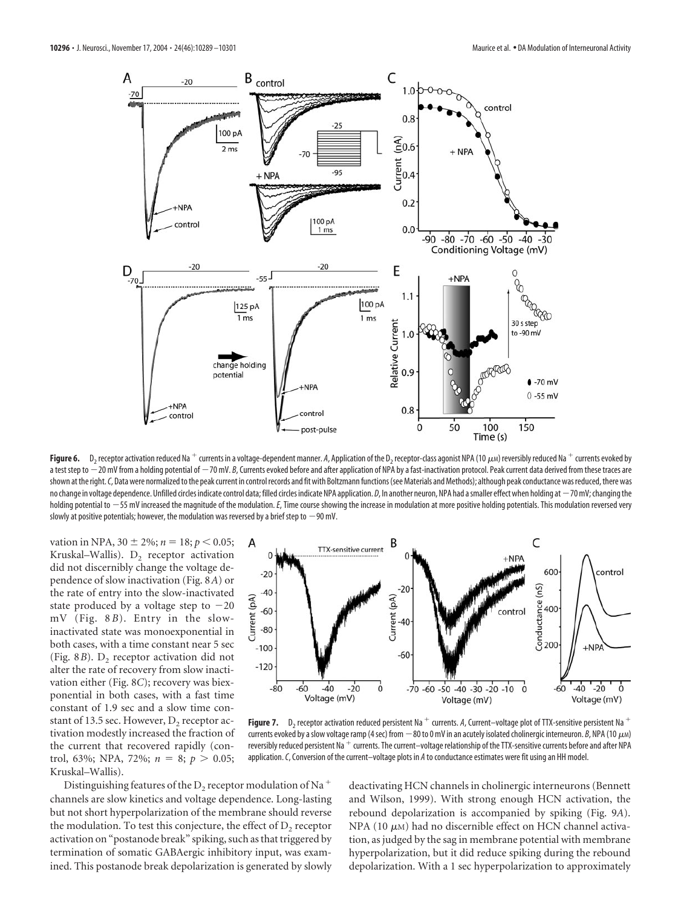

**Figure 6.** D<sub>2</sub> receptor activation reduced Na + currents in a voltage-dependent manner. A, Application of the D<sub>2</sub> receptor-class agonist NPA (10  $\mu$ M) reversibly reduced Na + currents evoked by a test step to -20 mV from a holding potential of -70 mV. *B*, Currents evoked before and after application of NPA by a fast-inactivation protocol. Peak current data derived from these traces are shown at the right. C, Data were normalized to the peak current in control records and fit with Boltzmann functions (see Materials and Methods); although peak conductance was reduced, there was no change in voltage dependence. Unfilled circles indicate control data; filled circles indicate NPA application. *D*, In another neuron, NPA had a smaller effect when holding at -70 mV; changing the holding potential to -55 mV increased the magnitude of the modulation. E, Time course showing the increase in modulation at more positive holding potentials. This modulation reversed very slowly at positive potentials; however, the modulation was reversed by a brief step to  $-90$  mV.

vation in NPA,  $30 \pm 2\%$ ;  $n = 18$ ;  $p < 0.05$ ; Kruskal–Wallis). D<sub>2</sub> receptor activation did not discernibly change the voltage dependence of slow inactivation (Fig. 8*A*) or the rate of entry into the slow-inactivated state produced by a voltage step to  $-20$ mV (Fig. 8 *B*). Entry in the slowinactivated state was monoexponential in both cases, with a time constant near 5 sec (Fig.  $8B$ ). D<sub>2</sub> receptor activation did not alter the rate of recovery from slow inactivation either (Fig. 8*C*); recovery was biexponential in both cases, with a fast time constant of 1.9 sec and a slow time constant of 13.5 sec. However,  $D_2$  receptor activation modestly increased the fraction of the current that recovered rapidly (control, 63%; NPA, 72%;  $n = 8$ ;  $p > 0.05$ ; Kruskal–Wallis).



**Figure 7.** D<sub>2</sub> receptor activation reduced persistent Na <sup>+</sup> currents. A, Current–voltage plot of TTX-sensitive persistent Na <sup>+</sup> currents evoked by a slow voltage ramp (4 sec) from  $-80$  to 0 mV in an acutely isolated cholinergic interneuron. *B*, NPA (10  $\mu$ <sub>M</sub>) reversibly reduced persistent Na  $^+$  currents. The current–voltage relationship of the TTX-sensitive currents before and after NPA application.*C*, Conversion of the current–voltage plots in *A* to conductance estimates were fit using an HH model.

Distinguishing features of the D<sub>2</sub> receptor modulation of Na<sup>+</sup> channels are slow kinetics and voltage dependence. Long-lasting but not short hyperpolarization of the membrane should reverse the modulation. To test this conjecture, the effect of  $D_2$  receptor activation on "postanode break" spiking, such as that triggered by termination of somatic GABAergic inhibitory input, was examined. This postanode break depolarization is generated by slowly deactivating HCN channels in cholinergic interneurons (Bennett and Wilson, 1999). With strong enough HCN activation, the rebound depolarization is accompanied by spiking (Fig. 9*A*). NPA (10  $\mu$ M) had no discernible effect on HCN channel activation, as judged by the sag in membrane potential with membrane hyperpolarization, but it did reduce spiking during the rebound depolarization. With a 1 sec hyperpolarization to approximately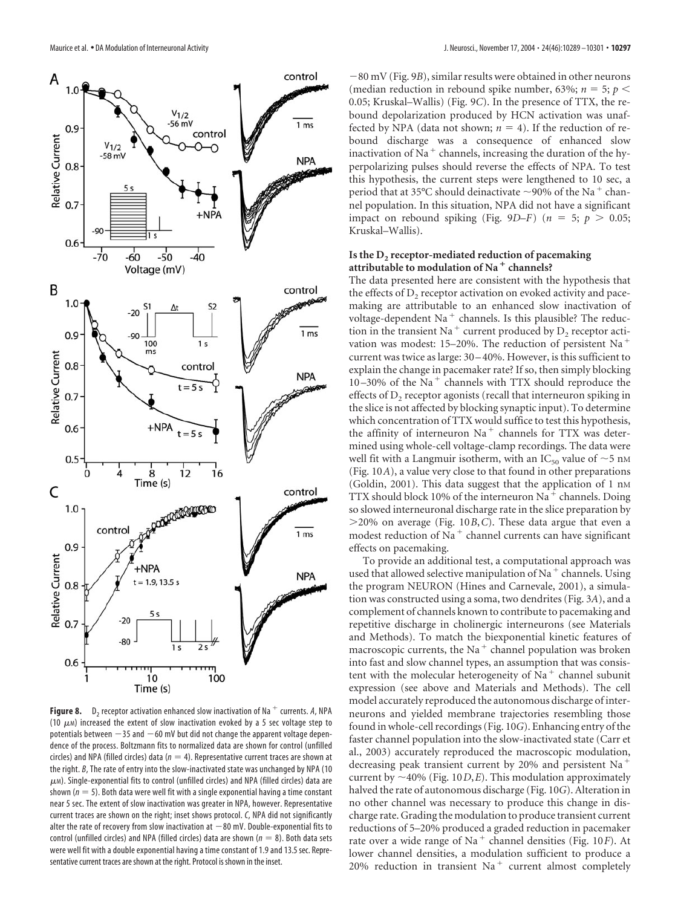

**Figure 8.** D<sub>2</sub> receptor activation enhanced slow inactivation of Na<sup> $+$ </sup> currents. A, NPA (10  $\mu$ m) increased the extent of slow inactivation evoked by a 5 sec voltage step to potentials between  $-35$  and  $-60$  mV but did not change the apparent voltage dependence of the process. Boltzmann fits to normalized data are shown for control (unfilled circles) and NPA (filled circles) data  $(n = 4)$ . Representative current traces are shown at the right. *B*, The rate of entry into the slow-inactivated state was unchanged by NPA (10  $\mu$ M). Single-exponential fits to control (unfilled circles) and NPA (filled circles) data are shown ( $n = 5$ ). Both data were well fit with a single exponential having a time constant near 5 sec. The extent of slow inactivation was greater in NPA, however. Representative current traces are shown on the right; inset shows protocol. *C*, NPA did not significantly alter the rate of recovery from slow inactivation at  $-80$  mV. Double-exponential fits to control (unfilled circles) and NPA (filled circles) data are shown ( $n = 8$ ). Both data sets were well fit with a double exponential having a time constant of 1.9 and 13.5 sec. Representative current traces are shown at the right. Protocol is shown in the inset.

80 mV (Fig. 9*B*), similar results were obtained in other neurons (median reduction in rebound spike number, 63%;  $n = 5$ ;  $p <$ 0.05; Kruskal–Wallis) (Fig. 9*C*). In the presence of TTX, the rebound depolarization produced by HCN activation was unaffected by NPA (data not shown;  $n = 4$ ). If the reduction of rebound discharge was a consequence of enhanced slow inactivation of Na<sup> $+$ </sup> channels, increasing the duration of the hyperpolarizing pulses should reverse the effects of NPA. To test this hypothesis, the current steps were lengthened to 10 sec, a period that at 35°C should deinactivate  $\sim$ 90% of the Na<sup>+</sup> channel population. In this situation, NPA did not have a significant impact on rebound spiking (Fig. 9*D*–*F*) ( $n = 5$ ;  $p > 0.05$ ; Kruskal–Wallis).

#### Is the D<sub>2</sub> receptor-mediated reduction of pacemaking **attributable to modulation of Na channels?**

The data presented here are consistent with the hypothesis that the effects of  $D<sub>2</sub>$  receptor activation on evoked activity and pacemaking are attributable to an enhanced slow inactivation of voltage-dependent Na<sup>+</sup> channels. Is this plausible? The reduction in the transient Na<sup>+</sup> current produced by  $D_2$  receptor activation was modest: 15–20%. The reduction of persistent Na current was twice as large: 30 –40%. However, is this sufficient to explain the change in pacemaker rate? If so, then simply blocking 10-30% of the Na<sup>+</sup> channels with TTX should reproduce the effects of  $D_2$  receptor agonists (recall that interneuron spiking in the slice is not affected by blocking synaptic input). To determine which concentration of TTX would suffice to test this hypothesis, the affinity of interneuron  $Na<sup>+</sup>$  channels for TTX was determined using whole-cell voltage-clamp recordings. The data were well fit with a Langmuir isotherm, with an IC<sub>50</sub> value of  $\sim$ 5 nm (Fig. 10*A*), a value very close to that found in other preparations (Goldin, 2001). This data suggest that the application of 1 nm TTX should block 10% of the interneuron Na $^+$  channels. Doing so slowed interneuronal discharge rate in the slice preparation by 20% on average (Fig. 10*B*,*C*). These data argue that even a modest reduction of Na<sup>+</sup> channel currents can have significant effects on pacemaking.

To provide an additional test, a computational approach was used that allowed selective manipulation of Na<sup> $+$ </sup> channels. Using the program NEURON (Hines and Carnevale, 2001), a simulation was constructed using a soma, two dendrites (Fig. 3*A*), and a complement of channels known to contribute to pacemaking and repetitive discharge in cholinergic interneurons (see Materials and Methods). To match the biexponential kinetic features of macroscopic currents, the Na<sup>+</sup> channel population was broken into fast and slow channel types, an assumption that was consistent with the molecular heterogeneity of Na<sup>+</sup> channel subunit expression (see above and Materials and Methods). The cell model accurately reproduced the autonomous discharge of interneurons and yielded membrane trajectories resembling those found in whole-cell recordings (Fig. 10*G*). Enhancing entry of the faster channel population into the slow-inactivated state (Carr et al., 2003) accurately reproduced the macroscopic modulation, decreasing peak transient current by 20% and persistent Na current by  $\sim$  40% (Fig. 10*D*,*E*). This modulation approximately halved the rate of autonomous discharge (Fig. 10*G*). Alteration in no other channel was necessary to produce this change in discharge rate. Grading the modulation to produce transient current reductions of 5–20% produced a graded reduction in pacemaker rate over a wide range of Na<sup>+</sup> channel densities (Fig. 10*F*). At lower channel densities, a modulation sufficient to produce a 20% reduction in transient  $Na<sup>+</sup>$  current almost completely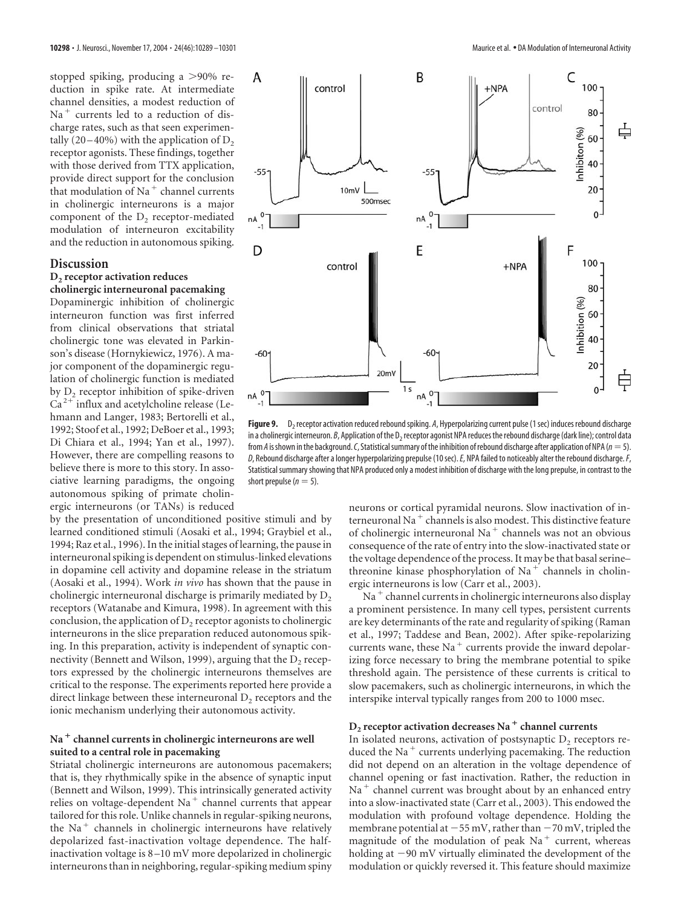stopped spiking, producing a  $>90\%$  reduction in spike rate. At intermediate channel densities, a modest reduction of  $Na<sup>+</sup>$  currents led to a reduction of discharge rates, such as that seen experimentally  $(20-40\%)$  with the application of  $D<sub>2</sub>$ receptor agonists. These findings, together with those derived from TTX application, provide direct support for the conclusion that modulation of Na<sup>+</sup> channel currents in cholinergic interneurons is a major component of the D<sub>2</sub> receptor-mediated modulation of interneuron excitability and the reduction in autonomous spiking.

#### **Discussion**

#### **D2 receptor activation reduces cholinergic interneuronal pacemaking**

Dopaminergic inhibition of cholinergic interneuron function was first inferred from clinical observations that striatal cholinergic tone was elevated in Parkinson's disease (Hornykiewicz, 1976). A major component of the dopaminergic regulation of cholinergic function is mediated by  $D<sub>2</sub>$  receptor inhibition of spike-driven  $Ca<sup>2+</sup>$  influx and acetylcholine release (Lehmann and Langer, 1983; Bertorelli et al., 1992; Stoof et al., 1992; DeBoer et al., 1993; Di Chiara et al., 1994; Yan et al., 1997). However, there are compelling reasons to believe there is more to this story. In associative learning paradigms, the ongoing autonomous spiking of primate cholinergic interneurons (or TANs) is reduced

by the presentation of unconditioned positive stimuli and by learned conditioned stimuli (Aosaki et al., 1994; Graybiel et al., 1994; Raz et al., 1996). In the initial stages of learning, the pause in interneuronal spiking is dependent on stimulus-linked elevations in dopamine cell activity and dopamine release in the striatum (Aosaki et al., 1994). Work *in vivo* has shown that the pause in cholinergic interneuronal discharge is primarily mediated by  $D<sub>2</sub>$ receptors (Watanabe and Kimura, 1998). In agreement with this conclusion, the application of  $D_2$  receptor agonists to cholinergic interneurons in the slice preparation reduced autonomous spiking. In this preparation, activity is independent of synaptic connectivity (Bennett and Wilson, 1999), arguing that the  $D<sub>2</sub>$  receptors expressed by the cholinergic interneurons themselves are critical to the response. The experiments reported here provide a direct linkage between these interneuronal  $D_2$  receptors and the ionic mechanism underlying their autonomous activity.

## Na<sup>+</sup> channel currents in cholinergic interneurons are well **suited to a central role in pacemaking**

Striatal cholinergic interneurons are autonomous pacemakers; that is, they rhythmically spike in the absence of synaptic input (Bennett and Wilson, 1999). This intrinsically generated activity relies on voltage-dependent Na<sup>+</sup> channel currents that appear tailored for this role. Unlike channels in regular-spiking neurons, the Na<sup>+</sup> channels in cholinergic interneurons have relatively depolarized fast-inactivation voltage dependence. The halfinactivation voltage is 8 –10 mV more depolarized in cholinergic interneurons than in neighboring, regular-spiking medium spiny



Figure 9. D<sub>2</sub> receptor activation reduced rebound spiking. A, Hyperpolarizing current pulse (1 sec) induces rebound discharge in a cholinergic interneuron. *B*, Application of the D<sub>2</sub> receptor agonist NPA reduces the rebound discharge (dark line); control data from *A* is shown in the background. *C*, Statistical summary of the inhibition of rebound discharge after application of NPA ( $n=5$ ). *D*, Rebound discharge after a longer hyperpolarizing prepulse (10 sec).*E*, NPA failed to noticeably alter the rebound discharge.*F*, Statistical summary showing that NPA produced only a modest inhibition of discharge with the long prepulse, in contrast to the short prepulse ( $n = 5$ ).

neurons or cortical pyramidal neurons. Slow inactivation of interneuronal Na<sup>+</sup> channels is also modest. This distinctive feature of cholinergic interneuronal Na<sup>+</sup> channels was not an obvious consequence of the rate of entry into the slow-inactivated state or the voltage dependence of the process. It may be that basal serine– threonine kinase phosphorylation of  $Na<sup>+</sup>$  channels in cholinergic interneurons is low (Carr et al., 2003).

 $Na<sup>+</sup>$  channel currents in cholinergic interneurons also display a prominent persistence. In many cell types, persistent currents are key determinants of the rate and regularity of spiking (Raman et al., 1997; Taddese and Bean, 2002). After spike-repolarizing currents wane, these Na<sup>+</sup> currents provide the inward depolarizing force necessary to bring the membrane potential to spike threshold again. The persistence of these currents is critical to slow pacemakers, such as cholinergic interneurons, in which the interspike interval typically ranges from 200 to 1000 msec.

## **D<sub>2</sub> receptor activation decreases Na<sup>+</sup> channel currents**

In isolated neurons, activation of postsynaptic  $D<sub>2</sub>$  receptors reduced the Na<sup>+</sup> currents underlying pacemaking. The reduction did not depend on an alteration in the voltage dependence of channel opening or fast inactivation. Rather, the reduction in  $Na<sup>+</sup>$  channel current was brought about by an enhanced entry into a slow-inactivated state (Carr et al., 2003). This endowed the modulation with profound voltage dependence. Holding the membrane potential at  $-55$  mV, rather than  $-70$  mV, tripled the magnitude of the modulation of peak  $Na<sup>+</sup>$  current, whereas holding at  $-90$  mV virtually eliminated the development of the modulation or quickly reversed it. This feature should maximize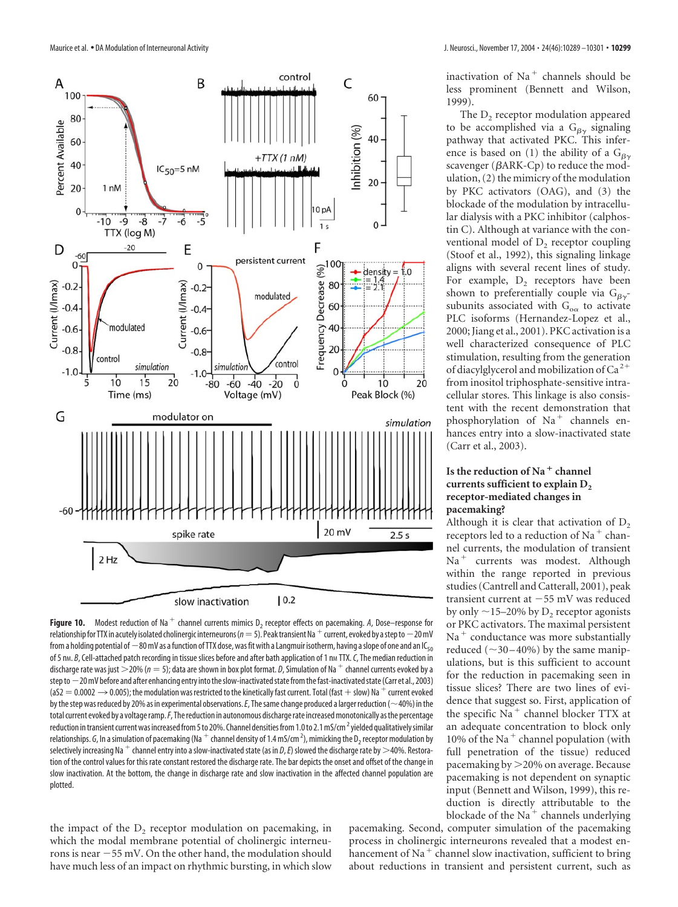

**Figure 10.** Modest reduction of Na<sup>+</sup> channel currents mimics D<sub>2</sub> receptor effects on pacemaking. A, Dose–response for relationship for TTX in acutely isolated cholinergic interneurons ( $n=5$ ). Peak transient Na  $^+$  current, evoked by a step to  $-20$  mV from a holding potential of  $-80$  mV as a function of TTX dose, was fit with a Langmuir isotherm, having a slope of one and an IC<sub>50</sub> of 5 nm. *B*, Cell-attached patch recording in tissue slices before and after bath application of 1 nm TTX. *C*, The median reduction in discharge rate was just  $>$  20% ( $n = 5$ ); data are shown in box plot format. *D*, Simulation of Na<sup>+</sup> channel currents evoked by a step to  $-20$  mV before and after enhancing entry into the slow-inactivated state from the fast-inactivated state (Carr et al., 2003) (aS2  $=$  0.0002  $\rightarrow$  0.005); the modulation was restricted to the kinetically fast current. Total (fast + slow) Na  $^+$  current evoked by the step was reduced by 20% as in experimental observations. *E*, The same change produced a larger reduction ( $\sim$ 40%) in the total current evoked by a voltage ramp. F, The reduction in autonomous discharge rate increased monotonically as the percentage reduction in transient current was increased from 5 to 20%. Channel densities from 1.0 to 2.1 mS/cm $^2$  yielded qualitatively similar relationships. *G,* In a simulation of pacemaking (Na  $^+$  channel density of 1.4 mS/cm<sup>2</sup>), mimicking the D<sub>2</sub> receptor modulation by selectively increasing Na<sup>+</sup> channel entry into a slow-inactivated state (as in *D*, *E*) slowed the discharge rate by >40%. Restoration of the control values for this rate constant restored the discharge rate. The bar depicts the onset and offset of the change in slow inactivation. At the bottom, the change in discharge rate and slow inactivation in the affected channel population are plotted.

the impact of the  $D_2$  receptor modulation on pacemaking, in which the modal membrane potential of cholinergic interneurons is near  $-55$  mV. On the other hand, the modulation should have much less of an impact on rhythmic bursting, in which slow inactivation of  $Na<sup>+</sup>$  channels should be less prominent (Bennett and Wilson, 1999).

The  $D<sub>2</sub>$  receptor modulation appeared to be accomplished via a  $G_{\beta\gamma}$  signaling pathway that activated PKC. This inference is based on (1) the ability of a  $G_{\beta\gamma}$ scavenger ( $\beta$ ARK-Cp) to reduce the modulation, (2) the mimicry of the modulation by PKC activators (OAG), and (3) the blockade of the modulation by intracellular dialysis with a PKC inhibitor (calphostin C). Although at variance with the conventional model of  $D<sub>2</sub>$  receptor coupling (Stoof et al., 1992), this signaling linkage aligns with several recent lines of study. For example,  $D<sub>2</sub>$  receptors have been shown to preferentially couple via  $G_{\beta\gamma}$ subunits associated with  $\mathrm{G}_{\mathrm{o}\alpha}$  to activate PLC isoforms (Hernandez-Lopez et al., 2000; Jiang et al., 2001). PKC activation is a well characterized consequence of PLC stimulation, resulting from the generation of diacylglycerol and mobilization of Ca<sup>2+</sup> from inositol triphosphate-sensitive intracellular stores. This linkage is also consistent with the recent demonstration that phosphorylation of  $Na<sup>+</sup>$  channels enhances entry into a slow-inactivated state (Carr et al., 2003).

## **Is the reduction of Na channel** currents sufficient to explain D<sub>2</sub> **receptor-mediated changes in pacemaking?**

Although it is clear that activation of  $D<sub>2</sub>$ receptors led to a reduction of Na<sup>+</sup> channel currents, the modulation of transient Na<sup>+</sup> currents was modest. Although within the range reported in previous studies (Cantrell and Catterall, 2001), peak transient current at  $-55$  mV was reduced by only  $\sim$ 15–20% by D<sub>2</sub> receptor agonists or PKC activators. The maximal persistent  $Na<sup>+</sup>$  conductance was more substantially reduced  $(\sim 30 - 40\%)$  by the same manipulations, but is this sufficient to account for the reduction in pacemaking seen in tissue slices? There are two lines of evidence that suggest so. First, application of the specific  $Na<sup>+</sup>$  channel blocker TTX at an adequate concentration to block only 10% of the Na<sup> $+$ </sup> channel population (with full penetration of the tissue) reduced pacemaking by 20% on average. Because pacemaking is not dependent on synaptic input (Bennett and Wilson, 1999), this reduction is directly attributable to the blockade of the Na<sup> $+$ </sup> channels underlying

pacemaking. Second, computer simulation of the pacemaking process in cholinergic interneurons revealed that a modest enhancement of Na<sup>+</sup> channel slow inactivation, sufficient to bring about reductions in transient and persistent current, such as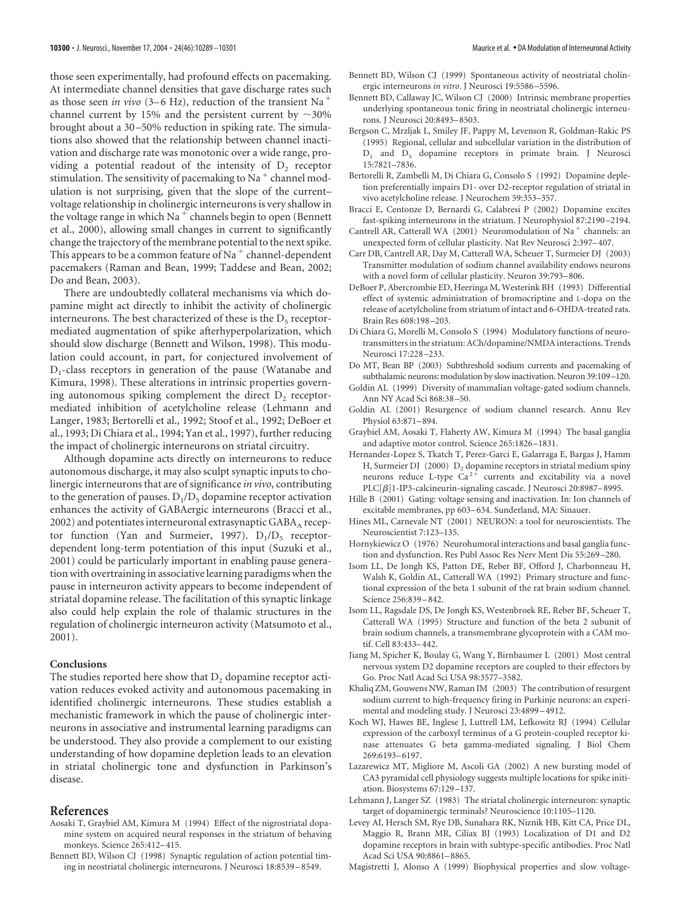those seen experimentally, had profound effects on pacemaking. At intermediate channel densities that gave discharge rates such as those seen *in vivo* (3–6 Hz), reduction of the transient Na channel current by 15% and the persistent current by  $\sim$ 30% brought about a 30 –50% reduction in spiking rate. The simulations also showed that the relationship between channel inactivation and discharge rate was monotonic over a wide range, providing a potential readout of the intensity of  $D<sub>2</sub>$  receptor stimulation. The sensitivity of pacemaking to Na<sup> $+$ </sup> channel modulation is not surprising, given that the slope of the current– voltage relationship in cholinergic interneurons is very shallow in the voltage range in which Na<sup> $+$ </sup> channels begin to open (Bennett et al., 2000), allowing small changes in current to significantly change the trajectory of the membrane potential to the next spike. This appears to be a common feature of Na $^+$  channel-dependent pacemakers (Raman and Bean, 1999; Taddese and Bean, 2002; Do and Bean, 2003).

There are undoubtedly collateral mechanisms via which dopamine might act directly to inhibit the activity of cholinergic interneurons. The best characterized of these is the  $D_5$  receptormediated augmentation of spike afterhyperpolarization, which should slow discharge (Bennett and Wilson, 1998). This modulation could account, in part, for conjectured involvement of  $D_1$ -class receptors in generation of the pause (Watanabe and Kimura, 1998). These alterations in intrinsic properties governing autonomous spiking complement the direct  $D_2$  receptormediated inhibition of acetylcholine release (Lehmann and Langer, 1983; Bertorelli et al., 1992; Stoof et al., 1992; DeBoer et al., 1993; Di Chiara et al., 1994; Yan et al., 1997), further reducing the impact of cholinergic interneurons on striatal circuitry.

Although dopamine acts directly on interneurons to reduce autonomous discharge, it may also sculpt synaptic inputs to cholinergic interneurons that are of significance *in vivo*, contributing to the generation of pauses.  $D_1/D_5$  dopamine receptor activation enhances the activity of GABAergic interneurons (Bracci et al.,  $2002$ ) and potentiates interneuronal extrasynaptic  $GABA_A$  receptor function (Yan and Surmeier, 1997).  $D_1/D_5$  receptordependent long-term potentiation of this input (Suzuki et al., 2001) could be particularly important in enabling pause generation with overtraining in associative learning paradigms when the pause in interneuron activity appears to become independent of striatal dopamine release. The facilitation of this synaptic linkage also could help explain the role of thalamic structures in the regulation of cholinergic interneuron activity (Matsumoto et al., 2001).

#### **Conclusions**

The studies reported here show that  $D<sub>2</sub>$  dopamine receptor activation reduces evoked activity and autonomous pacemaking in identified cholinergic interneurons. These studies establish a mechanistic framework in which the pause of cholinergic interneurons in associative and instrumental learning paradigms can be understood. They also provide a complement to our existing understanding of how dopamine depletion leads to an elevation in striatal cholinergic tone and dysfunction in Parkinson's disease.

#### **References**

- Aosaki T, Graybiel AM, Kimura M (1994) Effect of the nigrostriatal dopamine system on acquired neural responses in the striatum of behaving monkeys. Science 265:412–415.
- Bennett BD, Wilson CJ (1998) Synaptic regulation of action potential timing in neostriatal cholinergic interneurons. J Neurosci 18:8539 –8549.
- Bennett BD, Wilson CJ (1999) Spontaneous activity of neostriatal cholinergic interneurons *in vitro*. J Neurosci 19:5586 –5596.
- Bennett BD, Callaway JC, Wilson CJ (2000) Intrinsic membrane properties underlying spontaneous tonic firing in neostriatal cholinergic interneurons. J Neurosci 20:8493–8503.
- Bergson C, Mrzljak L, Smiley JF, Pappy M, Levenson R, Goldman-Rakic PS (1995) Regional, cellular and subcellular variation in the distribution of D<sub>1</sub> and D<sub>5</sub> dopamine receptors in primate brain. J Neurosci 15:7821–7836.
- Bertorelli R, Zambelli M, Di Chiara G, Consolo S (1992) Dopamine depletion preferentially impairs D1- over D2-receptor regulation of striatal in vivo acetylcholine release. J Neurochem 59:353–357.
- Bracci E, Centonze D, Bernardi G, Calabresi P (2002) Dopamine excites fast-spiking interneurons in the striatum. J Neurophysiol 87:2190 –2194.
- Cantrell AR, Catterall WA (2001) Neuromodulation of Na<sup>+</sup> channels: an unexpected form of cellular plasticity. Nat Rev Neurosci 2:397–407.
- Carr DB, Cantrell AR, Day M, Catterall WA, Scheuer T, Surmeier DJ (2003) Transmitter modulation of sodium channel availability endows neurons with a novel form of cellular plasticity. Neuron 39:793–806.
- DeBoer P, Abercrombie ED, Heeringa M, Westerink BH (1993) Differential effect of systemic administration of bromocriptine and L-dopa on the release of acetylcholine from striatum of intact and 6-OHDA-treated rats. Brain Res 608:198 –203.
- Di Chiara G, Morelli M, Consolo S (1994) Modulatory functions of neurotransmitters in the striatum: ACh/dopamine/NMDA interactions. Trends Neurosci 17:228 –233.
- Do MT, Bean BP (2003) Subthreshold sodium currents and pacemaking of subthalamic neurons: modulation by slow inactivation. Neuron 39:109 –120.
- Goldin AL (1999) Diversity of mammalian voltage-gated sodium channels. Ann NY Acad Sci 868:38 –50.
- Goldin AL (2001) Resurgence of sodium channel research. Annu Rev Physiol 63:871–894.
- Graybiel AM, Aosaki T, Flaherty AW, Kimura M (1994) The basal ganglia and adaptive motor control. Science 265:1826 –1831.
- Hernandez-Lopez S, Tkatch T, Perez-Garci E, Galarraga E, Bargas J, Hamm H, Surmeier DJ (2000)  $D_2$  dopamine receptors in striatal medium spiny neurons reduce L-type  $Ca^{2+}$  currents and excitability via a novel PLC $[\beta]$ 1-IP3-calcineurin-signaling cascade. J Neurosci 20:8987-8995.
- Hille B (2001) Gating: voltage sensing and inactivation. In: Ion channels of excitable membranes, pp 603–634. Sunderland, MA: Sinauer.
- Hines ML, Carnevale NT (2001) NEURON: a tool for neuroscientists. The Neuroscientist 7:123–135.
- Hornykiewicz O (1976) Neurohumoral interactions and basal ganglia function and dysfunction. Res Publ Assoc Res Nerv Ment Dis 55:269 –280.
- Isom LL, De Jongh KS, Patton DE, Reber BF, Offord J, Charbonneau H, Walsh K, Goldin AL, Catterall WA (1992) Primary structure and functional expression of the beta 1 subunit of the rat brain sodium channel. Science 256:839 –842.
- Isom LL, Ragsdale DS, De Jongh KS, Westenbroek RE, Reber BF, Scheuer T, Catterall WA (1995) Structure and function of the beta 2 subunit of brain sodium channels, a transmembrane glycoprotein with a CAM motif. Cell 83:433–442.
- Jiang M, Spicher K, Boulay G, Wang Y, Birnbaumer L (2001) Most central nervous system D2 dopamine receptors are coupled to their effectors by Go. Proc Natl Acad Sci USA 98:3577–3582.
- Khaliq ZM, Gouwens NW, Raman IM (2003) The contribution of resurgent sodium current to high-frequency firing in Purkinje neurons: an experimental and modeling study. J Neurosci 23:4899 –4912.
- Koch WJ, Hawes BE, Inglese J, Luttrell LM, Lefkowitz RJ (1994) Cellular expression of the carboxyl terminus of a G protein-coupled receptor kinase attenuates G beta gamma-mediated signaling. J Biol Chem 269:6193–6197.
- Lazarewicz MT, Migliore M, Ascoli GA (2002) A new bursting model of CA3 pyramidal cell physiology suggests multiple locations for spike initiation. Biosystems 67:129 –137.
- Lehmann J, Langer SZ (1983) The striatal cholinergic interneuron: synaptic target of dopaminergic terminals? Neuroscience 10:1105–1120.
- Levey AI, Hersch SM, Rye DB, Sunahara RK, Niznik HB, Kitt CA, Price DL, Maggio R, Brann MR, Ciliax BJ (1993) Localization of D1 and D2 dopamine receptors in brain with subtype-specific antibodies. Proc Natl Acad Sci USA 90:8861–8865.
- Magistretti J, Alonso A (1999) Biophysical properties and slow voltage-